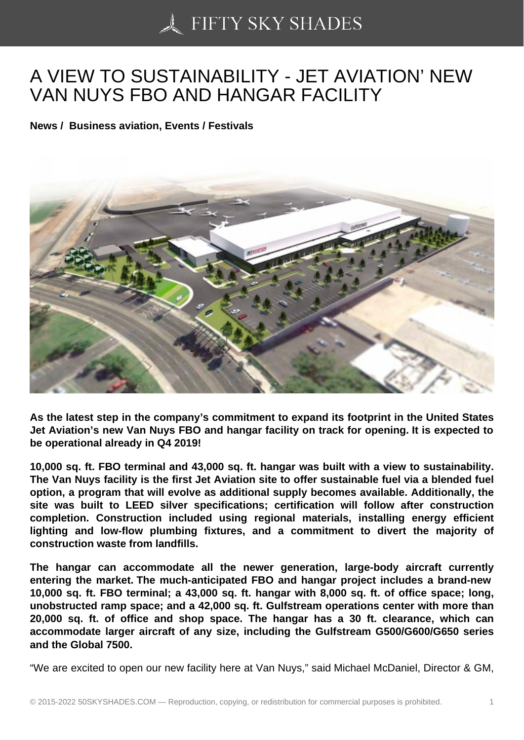## [A VIEW TO SUSTAINA](https://50skyshades.com)BILITY - JET AVIATION' NEW VAN NUYS FBO AND HANGAR FACILITY

News / Business aviation, Events / Festivals

As the latest step in the company's commitment to expand its footprint in the United States Jet Aviation's new Van Nuys FBO and hangar facility on track for opening. It is expected to be operational already in Q4 2019!

10,000 sq. ft. FBO terminal and 43,000 sq. ft. hangar was built with a view to sustainability. The Van Nuys facility is the first Jet Aviation site to offer sustainable fuel via a blended fuel option, a program that will evolve as additional supply becomes available. Additionally, the site was built to LEED silver specifications; certification will follow after construction completion. Construction included using regional materials, installing energy efficient lighting and low-flow plumbing fixtures, and a commitment to divert the majority of construction waste from landfills.

The hangar can accommodate all the newer generation, large-body aircraft currently entering the market. The much-anticipated FBO and hangar project includes a brand-new 10,000 sq. ft. FBO terminal; a 43,000 sq. ft. hangar with 8,000 sq. ft. of office space; long, unobstructed ramp space; and a 42,000 sq. ft. Gulfstream operations center with more than 20,000 sq. ft. of office and shop space. The hangar has a 30 ft. clearance, which can accommodate larger aircraft of any size, including the Gulfstream G500/G600/G650 series and the Global 7500.

"We are excited to open our new facility here at Van Nuys," said Michael McDaniel, Director & GM,